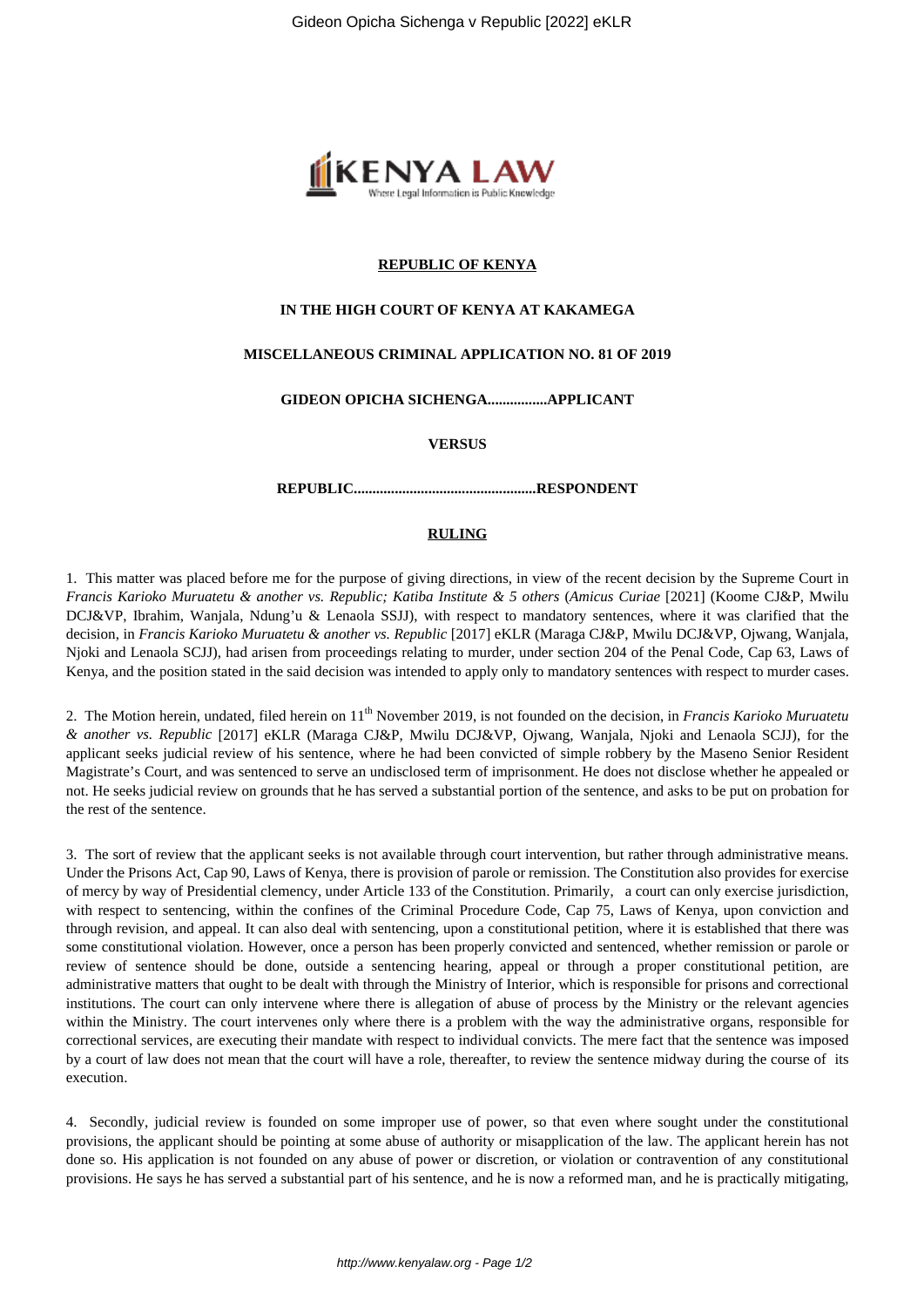

## **REPUBLIC OF KENYA**

### **IN THE HIGH COURT OF KENYA AT KAKAMEGA**

## **MISCELLANEOUS CRIMINAL APPLICATION NO. 81 OF 2019**

## **GIDEON OPICHA SICHENGA................APPLICANT**

#### **VERSUS**

### **REPUBLIC.................................................RESPONDENT**

# **RULING**

1. This matter was placed before me for the purpose of giving directions, in view of the recent decision by the Supreme Court in *Francis Karioko Muruatetu & another vs. Republic; Katiba Institute & 5 others* (*Amicus Curiae* [2021] (Koome CJ&P, Mwilu DCJ&VP, Ibrahim, Wanjala, Ndung'u & Lenaola SSJJ), with respect to mandatory sentences, where it was clarified that the decision, in *Francis Karioko Muruatetu & another vs. Republic* [2017] eKLR (Maraga CJ&P, Mwilu DCJ&VP, Ojwang, Wanjala, Njoki and Lenaola SCJJ), had arisen from proceedings relating to murder, under section 204 of the Penal Code, Cap 63, Laws of Kenya, and the position stated in the said decision was intended to apply only to mandatory sentences with respect to murder cases.

2. The Motion herein, undated, filed herein on 11th November 2019, is not founded on the decision, in *Francis Karioko Muruatetu & another vs. Republic* [2017] eKLR (Maraga CJ&P, Mwilu DCJ&VP, Ojwang, Wanjala, Njoki and Lenaola SCJJ), for the applicant seeks judicial review of his sentence, where he had been convicted of simple robbery by the Maseno Senior Resident Magistrate's Court, and was sentenced to serve an undisclosed term of imprisonment. He does not disclose whether he appealed or not. He seeks judicial review on grounds that he has served a substantial portion of the sentence, and asks to be put on probation for the rest of the sentence.

3. The sort of review that the applicant seeks is not available through court intervention, but rather through administrative means. Under the Prisons Act, Cap 90, Laws of Kenya, there is provision of parole or remission. The Constitution also provides for exercise of mercy by way of Presidential clemency, under Article 133 of the Constitution. Primarily, a court can only exercise jurisdiction, with respect to sentencing, within the confines of the Criminal Procedure Code, Cap 75, Laws of Kenya, upon conviction and through revision, and appeal. It can also deal with sentencing, upon a constitutional petition, where it is established that there was some constitutional violation. However, once a person has been properly convicted and sentenced, whether remission or parole or review of sentence should be done, outside a sentencing hearing, appeal or through a proper constitutional petition, are administrative matters that ought to be dealt with through the Ministry of Interior, which is responsible for prisons and correctional institutions. The court can only intervene where there is allegation of abuse of process by the Ministry or the relevant agencies within the Ministry. The court intervenes only where there is a problem with the way the administrative organs, responsible for correctional services, are executing their mandate with respect to individual convicts. The mere fact that the sentence was imposed by a court of law does not mean that the court will have a role, thereafter, to review the sentence midway during the course of its execution.

4. Secondly, judicial review is founded on some improper use of power, so that even where sought under the constitutional provisions, the applicant should be pointing at some abuse of authority or misapplication of the law. The applicant herein has not done so. His application is not founded on any abuse of power or discretion, or violation or contravention of any constitutional provisions. He says he has served a substantial part of his sentence, and he is now a reformed man, and he is practically mitigating,